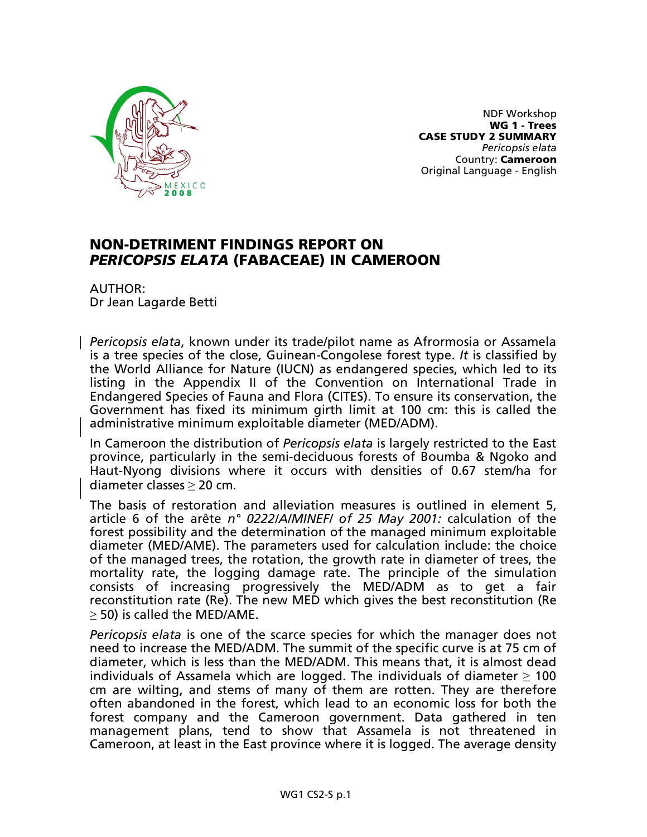

NDF Workshop WG 1 - Trees CASE STUDY 2 SUMMARY *Pericopsis elata* Country: Cameroon Original Language - English

## NON-DETRIMENT FINDINGS REPORT ON *PERICOPSIS ELATA* (FABACEAE) IN CAMEROON

AUTHOR: Dr Jean Lagarde Betti

*Pericopsis elata*, known under its trade/pilot name as Afrormosia or Assamela is a tree species of the close, Guinean-Congolese forest type. *It* is classified by the World Alliance for Nature (IUCN) as endangered species, which led to its listing in the Appendix II of the Convention on International Trade in Endangered Species of Fauna and Flora (CITES). To ensure its conservation, the Government has fixed its minimum girth limit at 100 cm: this is called the administrative minimum exploitable diameter (MED/ADM).

In Cameroon the distribution of *Pericopsis elata* is largely restricted to the East province, particularly in the semi-deciduous forests of Boumba & Ngoko and Haut-Nyong divisions where it occurs with densities of 0.67 stem/ha for diameter classes ≥ 20 cm.

The basis of restoration and alleviation measures is outlined in element 5, article 6 of the arête *n° 0222/A/MINEF/ of 25 May 2001:* calculation of the forest possibility and the determination of the managed minimum exploitable diameter (MED/AME). The parameters used for calculation include: the choice of the managed trees, the rotation, the growth rate in diameter of trees, the mortality rate, the logging damage rate. The principle of the simulation consists of increasing progressively the MED/ADM as to get a fair reconstitution rate (Re). The new MED which gives the best reconstitution (Re ≥ 50) is called the MED/AME.

*Pericopsis elata* is one of the scarce species for which the manager does not need to increase the MED/ADM. The summit of the specific curve is at 75 cm of diameter, which is less than the MED/ADM. This means that, it is almost dead individuals of Assamela which are logged. The individuals of diameter  $\geq 100$ cm are wilting, and stems of many of them are rotten. They are therefore often abandoned in the forest, which lead to an economic loss for both the forest company and the Cameroon government. Data gathered in ten management plans, tend to show that Assamela is not threatened in Cameroon, at least in the East province where it is logged. The average density